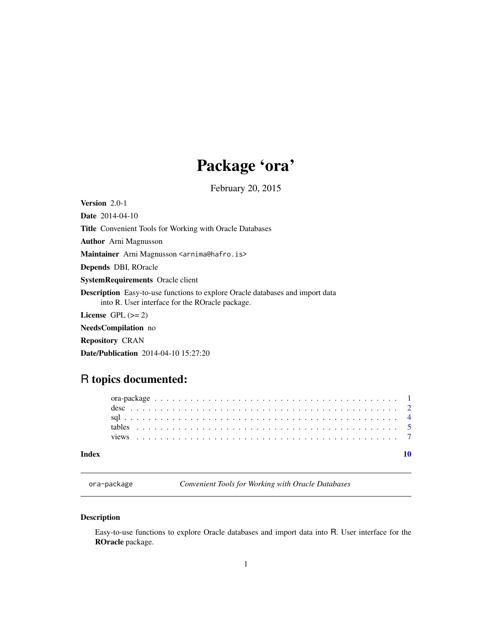# Package 'ora'

February 20, 2015

<span id="page-0-1"></span><span id="page-0-0"></span>Version 2.0-1

Date 2014-04-10 Title Convenient Tools for Working with Oracle Databases Author Arni Magnusson Maintainer Arni Magnusson <arnima@hafro.is> Depends DBI, ROracle SystemRequirements Oracle client Description Easy-to-use functions to explore Oracle databases and import data into R. User interface for the ROracle package. License GPL  $(>= 2)$ NeedsCompilation no Repository CRAN

Date/Publication 2014-04-10 15:27:20

# R topics documented:

#### $\blacksquare$

| ora-package |  |
|-------------|--|
|-------------|--|

Convenient Tools for Working with Oracle Databases

## <span id="page-0-2"></span>Description

Easy-to-use functions to explore Oracle databases and import data into R. User interface for the ROracle package.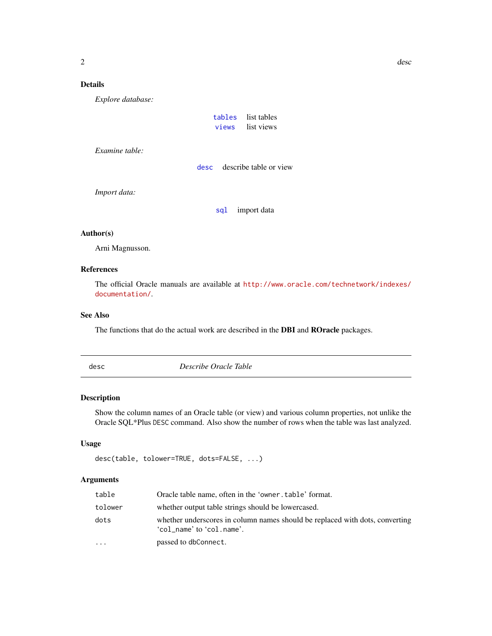## Details

*Explore database:*

| tables | list tables |
|--------|-------------|
| views  | list views  |

*Examine table:*

[desc](#page-1-1) describe table or view

*Import data:*

[sql](#page-3-1) import data

#### Author(s)

Arni Magnusson.

#### References

The official Oracle manuals are available at [http://www.oracle.com/technetwork/indexes/](http://www.oracle.com/technetwork/indexes/documentation/) [documentation/](http://www.oracle.com/technetwork/indexes/documentation/).

### See Also

The functions that do the actual work are described in the DBI and ROracle packages.

<span id="page-1-1"></span>desc *Describe Oracle Table*

#### Description

Show the column names of an Oracle table (or view) and various column properties, not unlike the Oracle SQL\*Plus DESC command. Also show the number of rows when the table was last analyzed.

#### Usage

```
desc(table, tolower=TRUE, dots=FALSE, ...)
```
#### Arguments

| table     | Oracle table name, often in the 'owner.table' format.                                                     |
|-----------|-----------------------------------------------------------------------------------------------------------|
| tolower   | whether output table strings should be lowercased.                                                        |
| dots      | whether underscores in column names should be replaced with dots, converting<br>'col_name' to 'col.name'. |
| $\ddotsc$ | passed to dbConnect.                                                                                      |

<span id="page-1-0"></span> $2 \cos \theta$  describes the set of  $\theta$  describes the set of  $\theta$  describes the set of  $\theta$  describes the set of  $\theta$  describes the set of  $\theta$  describes the set of  $\theta$  describes the set of  $\theta$  describes the set of  $\theta$  descr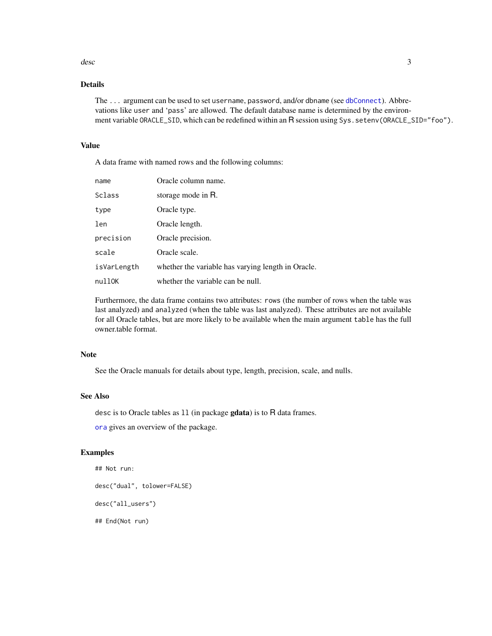#### <span id="page-2-0"></span>desc 3 and 3 and 3 and 3 and 3 and 3 and 3 and 3 and 3 and 3 and 3 and 3 and 3 and 3 and 3 and 3 and 3 and 3 and 3 and 3 and 3 and 3 and 3 and 3 and 3 and 3 and 3 and 3 and 3 and 3 and 3 and 3 and 3 and 3 and 3 and 3 and 3

# Details

The ... argument can be used to set username, password, and/or dbname (see [dbConnect](#page-0-1)). Abbrevations like user and 'pass' are allowed. The default database name is determined by the environment variable ORACLE\_SID, which can be redefined within an R session using Sys.setenv(ORACLE\_SID="foo").

#### Value

A data frame with named rows and the following columns:

| name        | Oracle column name.                                |
|-------------|----------------------------------------------------|
| Sclass      | storage mode in R.                                 |
| type        | Oracle type.                                       |
| len         | Oracle length.                                     |
| precision   | Oracle precision.                                  |
| scale       | Oracle scale.                                      |
| isVarLength | whether the variable has varying length in Oracle. |
| nullOK      | whether the variable can be null.                  |

Furthermore, the data frame contains two attributes: rows (the number of rows when the table was last analyzed) and analyzed (when the table was last analyzed). These attributes are not available for all Oracle tables, but are more likely to be available when the main argument table has the full owner.table format.

#### Note

See the Oracle manuals for details about type, length, precision, scale, and nulls.

#### See Also

desc is to Oracle tables as ll (in package gdata) is to R data frames.

[ora](#page-0-2) gives an overview of the package.

#### Examples

```
## Not run:
desc("dual", tolower=FALSE)
desc("all_users")
## End(Not run)
```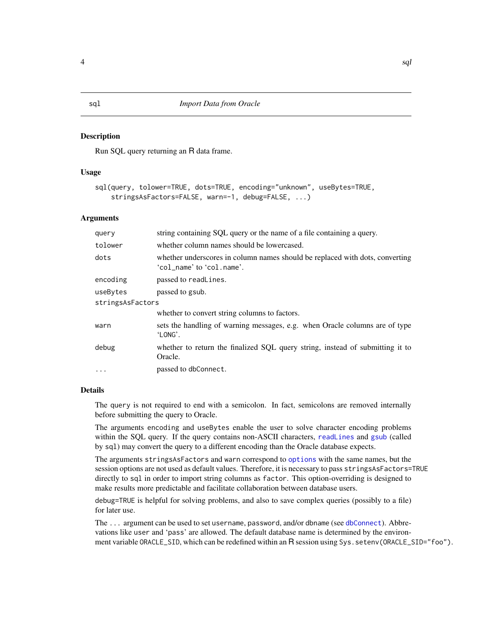#### <span id="page-3-1"></span><span id="page-3-0"></span>**Description**

Run SQL query returning an R data frame.

#### Usage

```
sql(query, tolower=TRUE, dots=TRUE, encoding="unknown", useBytes=TRUE,
    stringsAsFactors=FALSE, warn=-1, debug=FALSE, ...)
```
#### **Arguments**

| query    | string containing SQL query or the name of a file containing a query.                                     |  |  |  |  |  |  |
|----------|-----------------------------------------------------------------------------------------------------------|--|--|--|--|--|--|
| tolower  | whether column names should be lowercased.                                                                |  |  |  |  |  |  |
| dots     | whether underscores in column names should be replaced with dots, converting<br>'col name' to 'col.name'. |  |  |  |  |  |  |
| encoding | passed to readLines.                                                                                      |  |  |  |  |  |  |
| useBytes | passed to gsub.                                                                                           |  |  |  |  |  |  |
|          | stringsAsFactors                                                                                          |  |  |  |  |  |  |
|          | whether to convert string columns to factors.                                                             |  |  |  |  |  |  |
| warn     | sets the handling of warning messages, e.g. when Oracle columns are of type<br>'LONG'.                    |  |  |  |  |  |  |
| debug    | whether to return the finalized SQL query string, instead of submitting it to<br>Oracle.                  |  |  |  |  |  |  |
| $\cdots$ | passed to dbConnect.                                                                                      |  |  |  |  |  |  |

#### Details

The query is not required to end with a semicolon. In fact, semicolons are removed internally before submitting the query to Oracle.

The arguments encoding and useBytes enable the user to solve character encoding problems within the SQL query. If the query contains non-ASCII characters, [readLines](#page-0-1) and [gsub](#page-0-1) (called by sql) may convert the query to a different encoding than the Oracle database expects.

The arguments stringsAsFactors and warn correspond to [options](#page-0-1) with the same names, but the session options are not used as default values. Therefore, it is necessary to pass stringsAsFactors=TRUE directly to sql in order to import string columns as factor. This option-overriding is designed to make results more predictable and facilitate collaboration between database users.

debug=TRUE is helpful for solving problems, and also to save complex queries (possibly to a file) for later use.

The ... argument can be used to set username, password, and/or dbname (see [dbConnect](#page-0-1)). Abbrevations like user and 'pass' are allowed. The default database name is determined by the environment variable ORACLE\_SID, which can be redefined within an R session using Sys. setenv(ORACLE\_SID="foo").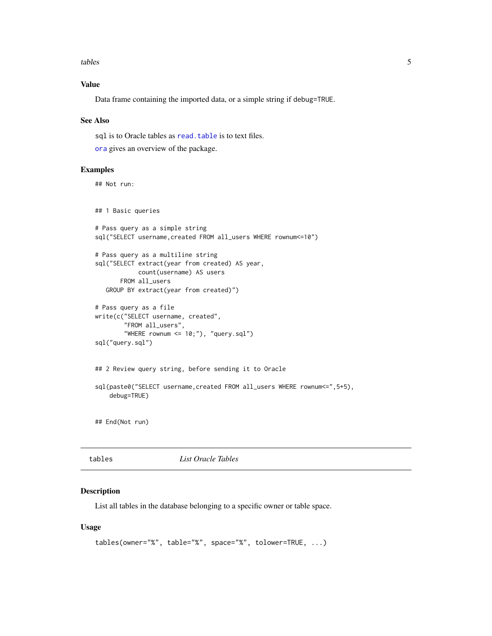<span id="page-4-0"></span>tables 5

### Value

Data frame containing the imported data, or a simple string if debug=TRUE.

#### See Also

sql is to Oracle tables as read. table is to text files.

[ora](#page-0-2) gives an overview of the package.

#### Examples

## Not run:

## 1 Basic queries

```
# Pass query as a simple string
sql("SELECT username, created FROM all_users WHERE rownum<=10")
# Pass query as a multiline string
sql("SELECT extract(year from created) AS year,
           count(username) AS users
      FROM all_users
  GROUP BY extract(year from created)")
```

```
# Pass query as a file
write(c("SELECT username, created",
        "FROM all_users",
        "WHERE rownum <= 10;"), "query.sql")
sql("query.sql")
```

```
## 2 Review query string, before sending it to Oracle
sql(paste0("SELECT username, created FROM all_users WHERE rownum <= ", 5+5),
    debug=TRUE)
```
## End(Not run)

<span id="page-4-1"></span>tables *List Oracle Tables*

#### Description

List all tables in the database belonging to a specific owner or table space.

#### Usage

```
tables(owner="%", table="%", space="%", tolower=TRUE, ...)
```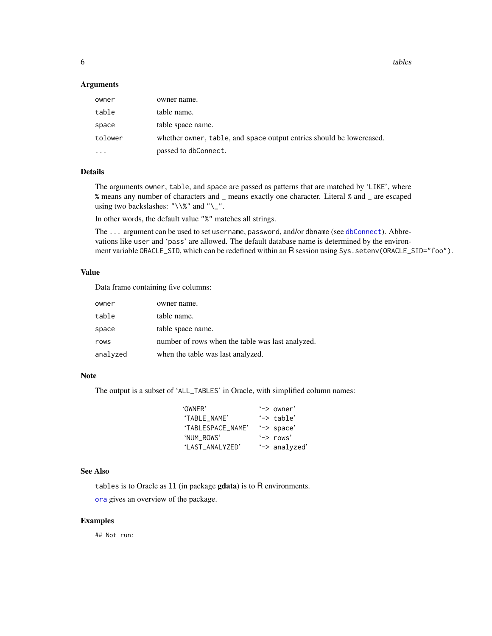<span id="page-5-0"></span>**6** tables the contract of the contract of the contract of the contract of the contract of the contract of the contract of the contract of the contract of the contract of the contract of the contract of the contract of the

#### Arguments

| owner     | owner name.                                                          |
|-----------|----------------------------------------------------------------------|
| table     | table name.                                                          |
| space     | table space name.                                                    |
| tolower   | whether owner, table, and space output entries should be lowercased. |
| $\ddotsc$ | passed to dbConnect.                                                 |

#### Details

The arguments owner, table, and space are passed as patterns that are matched by 'LIKE', where % means any number of characters and \_ means exactly one character. Literal % and \_ are escaped using two backslashes: " $\sqrt{\}$ " and " $\_{$ ".

In other words, the default value "%" matches all strings.

The ... argument can be used to set username, password, and/or dbname (see [dbConnect](#page-0-1)). Abbrevations like user and 'pass' are allowed. The default database name is determined by the environment variable ORACLE\_SID, which can be redefined within an R session using Sys.setenv(ORACLE\_SID="foo").

#### Value

Data frame containing five columns:

| owner    | owner name.                                      |
|----------|--------------------------------------------------|
| table    | table name.                                      |
| space    | table space name.                                |
| rows     | number of rows when the table was last analyzed. |
| analyzed | when the table was last analyzed.                |

#### Note

The output is a subset of 'ALL\_TABLES' in Oracle, with simplified column names:

| 'OWNER'           | $\rightarrow$ owner' |
|-------------------|----------------------|
| 'TABLE NAME'      | '-> table'           |
| 'TABLESPACE NAME' | '-> space'           |
| 'NUM ROWS'        | $\rightarrow$ rows'  |
| 'LAST ANALYZED'   | '-> analyzed'        |

#### See Also

tables is to Oracle as ll (in package gdata) is to R environments.

[ora](#page-0-2) gives an overview of the package.

#### Examples

## Not run: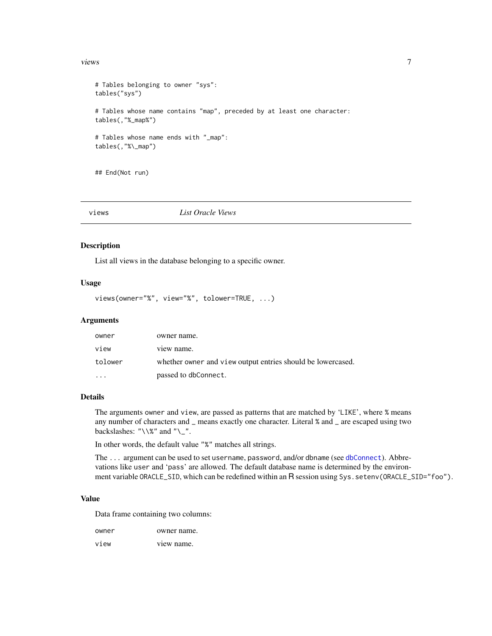#### <span id="page-6-0"></span>views 7

```
# Tables belonging to owner "sys":
tables("sys")
# Tables whose name contains "map", preceded by at least one character:
tables(,"%_map%")
# Tables whose name ends with "_map":
tables(,"%\_map")
```
## End(Not run)

#### <span id="page-6-1"></span>views *List Oracle Views*

#### Description

List all views in the database belonging to a specific owner.

### Usage

views(owner="%", view="%", tolower=TRUE, ...)

#### Arguments

| owner    | owner name.                                                 |
|----------|-------------------------------------------------------------|
| view     | view name.                                                  |
| tolower  | whether owner and view output entries should be lowercased. |
| $\cdots$ | passed to dbConnect.                                        |

#### Details

The arguments owner and view, are passed as patterns that are matched by 'LIKE', where % means any number of characters and \_ means exactly one character. Literal % and \_ are escaped using two backslashes: " $\setminus\$ " and " $\setminus\_$ ".

In other words, the default value "%" matches all strings.

The ... argument can be used to set username, password, and/or dbname (see [dbConnect](#page-0-1)). Abbrevations like user and 'pass' are allowed. The default database name is determined by the environment variable ORACLE\_SID, which can be redefined within an R session using Sys. setenv(ORACLE\_SID="foo").

#### Value

Data frame containing two columns:

| owner | owner name. |
|-------|-------------|
|       |             |

view view name.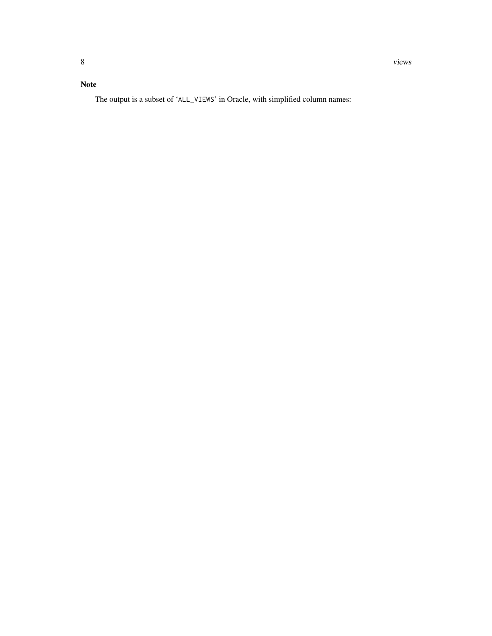# Note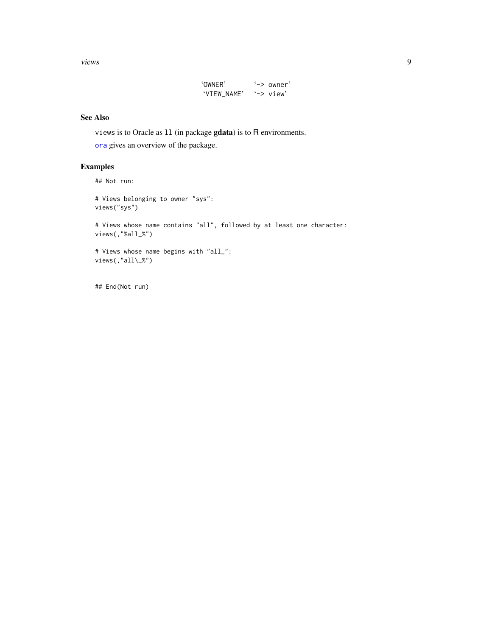<span id="page-8-0"></span>views 9

| 'OWNER'     | $\rightarrow$ owner' |
|-------------|----------------------|
| 'VIEW_NAME' | $'->$ view'          |

#### See Also

views is to Oracle as ll (in package gdata) is to R environments.

[ora](#page-0-2) gives an overview of the package.

#### Examples

```
## Not run:
# Views belonging to owner "sys":
views("sys")
# Views whose name contains "all", followed by at least one character:
views(,"%all_%")
# Views whose name begins with "all_":
views(,"all\_%")
```
## End(Not run)